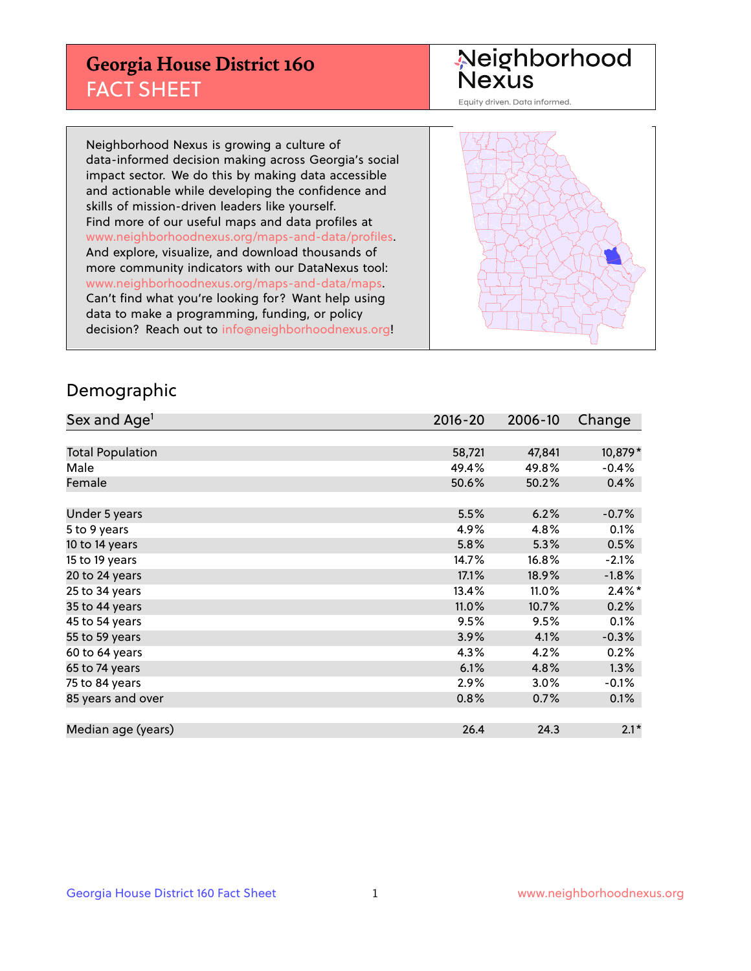## **Georgia House District 160** FACT SHEET

# Neighborhood<br>Nexus

Equity driven. Data informed.

Neighborhood Nexus is growing a culture of data-informed decision making across Georgia's social impact sector. We do this by making data accessible and actionable while developing the confidence and skills of mission-driven leaders like yourself. Find more of our useful maps and data profiles at www.neighborhoodnexus.org/maps-and-data/profiles. And explore, visualize, and download thousands of more community indicators with our DataNexus tool: www.neighborhoodnexus.org/maps-and-data/maps. Can't find what you're looking for? Want help using data to make a programming, funding, or policy decision? Reach out to [info@neighborhoodnexus.org!](mailto:info@neighborhoodnexus.org)



### Demographic

| Sex and Age <sup>1</sup> | $2016 - 20$ | 2006-10 | Change               |
|--------------------------|-------------|---------|----------------------|
|                          |             |         |                      |
| <b>Total Population</b>  | 58,721      | 47,841  | 10,879*              |
| Male                     | 49.4%       | 49.8%   | $-0.4%$              |
| Female                   | 50.6%       | 50.2%   | 0.4%                 |
|                          |             |         |                      |
| Under 5 years            | 5.5%        | 6.2%    | $-0.7%$              |
| 5 to 9 years             | 4.9%        | 4.8%    | 0.1%                 |
| 10 to 14 years           | 5.8%        | 5.3%    | 0.5%                 |
| 15 to 19 years           | 14.7%       | 16.8%   | $-2.1%$              |
| 20 to 24 years           | 17.1%       | 18.9%   | $-1.8%$              |
| 25 to 34 years           | 13.4%       | 11.0%   | $2.4\%$ <sup>*</sup> |
| 35 to 44 years           | 11.0%       | 10.7%   | 0.2%                 |
| 45 to 54 years           | 9.5%        | 9.5%    | 0.1%                 |
| 55 to 59 years           | 3.9%        | 4.1%    | $-0.3%$              |
| 60 to 64 years           | 4.3%        | 4.2%    | 0.2%                 |
| 65 to 74 years           | 6.1%        | 4.8%    | 1.3%                 |
| 75 to 84 years           | 2.9%        | 3.0%    | $-0.1%$              |
| 85 years and over        | 0.8%        | 0.7%    | 0.1%                 |
|                          |             |         |                      |
| Median age (years)       | 26.4        | 24.3    | $2.1*$               |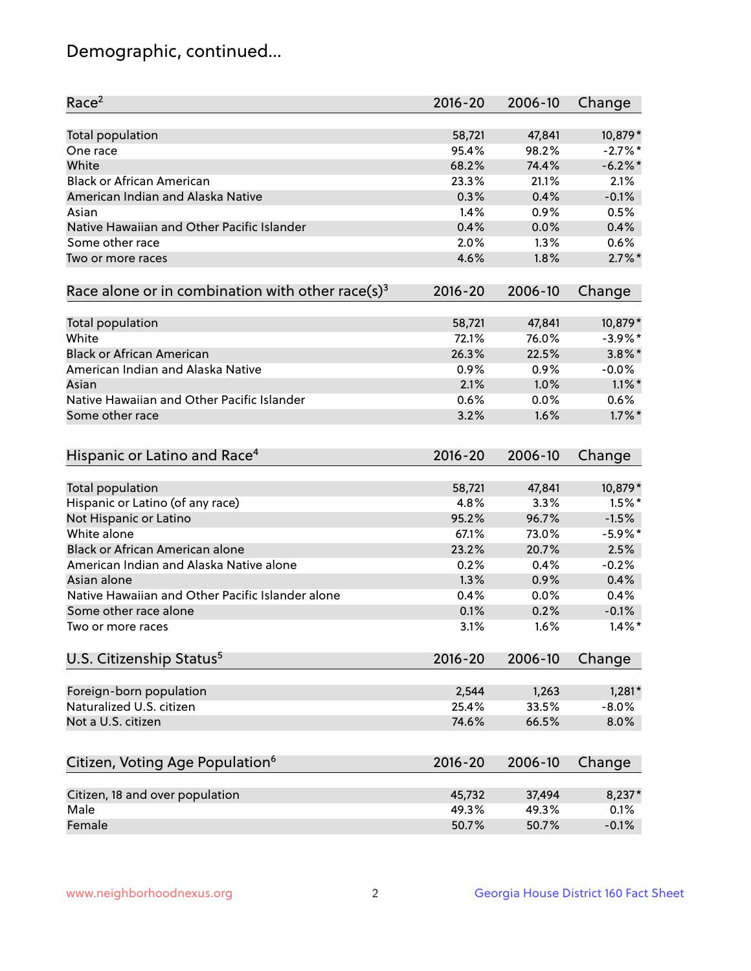## Demographic, continued...

| Race <sup>2</sup>                                            | $2016 - 20$ | 2006-10 | Change     |
|--------------------------------------------------------------|-------------|---------|------------|
| <b>Total population</b>                                      | 58,721      | 47,841  | 10,879*    |
| One race                                                     | 95.4%       | 98.2%   | $-2.7%$ *  |
| White                                                        | 68.2%       | 74.4%   | $-6.2\%$ * |
| <b>Black or African American</b>                             | 23.3%       | 21.1%   | 2.1%       |
| American Indian and Alaska Native                            | 0.3%        | 0.4%    | $-0.1%$    |
| Asian                                                        | 1.4%        | 0.9%    | 0.5%       |
| Native Hawaiian and Other Pacific Islander                   | 0.4%        | 0.0%    | 0.4%       |
| Some other race                                              | 2.0%        | 1.3%    | 0.6%       |
| Two or more races                                            | 4.6%        | 1.8%    | $2.7\%$ *  |
| Race alone or in combination with other race(s) <sup>3</sup> | $2016 - 20$ | 2006-10 | Change     |
| Total population                                             | 58,721      | 47,841  | 10,879*    |
| White                                                        | 72.1%       | 76.0%   | $-3.9\%$ * |
| <b>Black or African American</b>                             | 26.3%       | 22.5%   | $3.8\%$ *  |
| American Indian and Alaska Native                            | 0.9%        | 0.9%    | $-0.0%$    |
| Asian                                                        | 2.1%        | 1.0%    | $1.1\%$ *  |
| Native Hawaiian and Other Pacific Islander                   | 0.6%        | 0.0%    | 0.6%       |
| Some other race                                              | 3.2%        | 1.6%    | $1.7\%$ *  |
| Hispanic or Latino and Race <sup>4</sup>                     | $2016 - 20$ | 2006-10 | Change     |
| <b>Total population</b>                                      | 58,721      | 47,841  | 10,879*    |
| Hispanic or Latino (of any race)                             | 4.8%        | 3.3%    | $1.5%$ *   |
| Not Hispanic or Latino                                       | 95.2%       | 96.7%   | $-1.5%$    |
| White alone                                                  | 67.1%       | 73.0%   | $-5.9\%$ * |
| <b>Black or African American alone</b>                       | 23.2%       | 20.7%   | 2.5%       |
| American Indian and Alaska Native alone                      | 0.2%        | 0.4%    | $-0.2%$    |
| Asian alone                                                  | 1.3%        | 0.9%    | 0.4%       |
| Native Hawaiian and Other Pacific Islander alone             | 0.4%        | 0.0%    | 0.4%       |
| Some other race alone                                        | 0.1%        | 0.2%    | $-0.1%$    |
| Two or more races                                            | 3.1%        | 1.6%    | $1.4\%$ *  |
| U.S. Citizenship Status <sup>5</sup>                         | $2016 - 20$ | 2006-10 | Change     |
| Foreign-born population                                      | 2,544       | 1,263   | $1,281*$   |
| Naturalized U.S. citizen                                     | 25.4%       | 33.5%   | $-8.0%$    |
| Not a U.S. citizen                                           | 74.6%       | 66.5%   | 8.0%       |
|                                                              |             |         |            |
| Citizen, Voting Age Population <sup>6</sup>                  | $2016 - 20$ | 2006-10 | Change     |
| Citizen, 18 and over population                              | 45,732      | 37,494  | 8,237*     |
| Male                                                         | 49.3%       | 49.3%   | 0.1%       |
| Female                                                       | 50.7%       | 50.7%   | $-0.1%$    |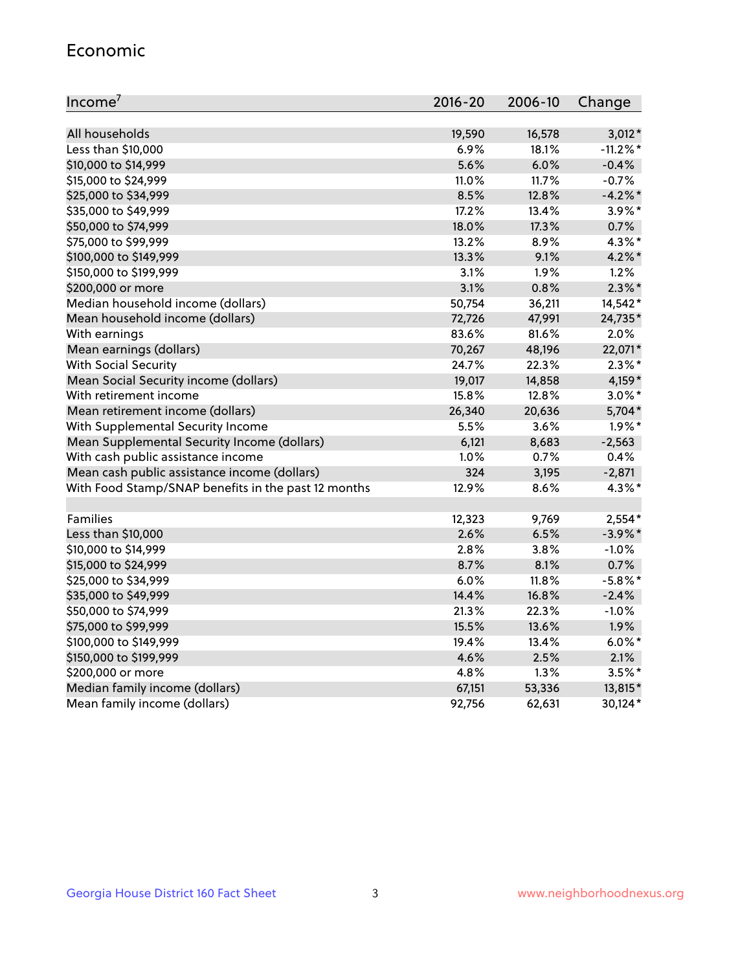#### Economic

| Income <sup>7</sup>                                 | 2016-20 | 2006-10 | Change      |
|-----------------------------------------------------|---------|---------|-------------|
|                                                     |         |         |             |
| All households                                      | 19,590  | 16,578  | $3,012*$    |
| Less than \$10,000                                  | 6.9%    | 18.1%   | $-11.2\%$ * |
| \$10,000 to \$14,999                                | 5.6%    | 6.0%    | $-0.4%$     |
| \$15,000 to \$24,999                                | 11.0%   | 11.7%   | $-0.7%$     |
| \$25,000 to \$34,999                                | 8.5%    | 12.8%   | $-4.2%$     |
| \$35,000 to \$49,999                                | 17.2%   | 13.4%   | $3.9\%$ *   |
| \$50,000 to \$74,999                                | 18.0%   | 17.3%   | 0.7%        |
| \$75,000 to \$99,999                                | 13.2%   | 8.9%    | 4.3%*       |
| \$100,000 to \$149,999                              | 13.3%   | 9.1%    | 4.2%*       |
| \$150,000 to \$199,999                              | 3.1%    | 1.9%    | 1.2%        |
| \$200,000 or more                                   | 3.1%    | 0.8%    | $2.3\%$ *   |
| Median household income (dollars)                   | 50,754  | 36,211  | 14,542*     |
| Mean household income (dollars)                     | 72,726  | 47,991  | 24,735*     |
| With earnings                                       | 83.6%   | 81.6%   | 2.0%        |
| Mean earnings (dollars)                             | 70,267  | 48,196  | 22,071*     |
| <b>With Social Security</b>                         | 24.7%   | 22.3%   | $2.3\%$ *   |
| Mean Social Security income (dollars)               | 19,017  | 14,858  | $4,159*$    |
| With retirement income                              | 15.8%   | 12.8%   | $3.0\%$ *   |
| Mean retirement income (dollars)                    | 26,340  | 20,636  | 5,704*      |
| With Supplemental Security Income                   | 5.5%    | 3.6%    | $1.9\%$ *   |
| Mean Supplemental Security Income (dollars)         | 6,121   | 8,683   | $-2,563$    |
| With cash public assistance income                  | 1.0%    | 0.7%    | 0.4%        |
| Mean cash public assistance income (dollars)        | 324     | 3,195   | $-2,871$    |
| With Food Stamp/SNAP benefits in the past 12 months | 12.9%   | 8.6%    | $4.3\%$ *   |
|                                                     |         |         |             |
| Families                                            | 12,323  | 9,769   | $2,554*$    |
| Less than \$10,000                                  | 2.6%    | 6.5%    | $-3.9\%$ *  |
| \$10,000 to \$14,999                                | 2.8%    | 3.8%    | $-1.0%$     |
| \$15,000 to \$24,999                                | 8.7%    | 8.1%    | 0.7%        |
| \$25,000 to \$34,999                                | 6.0%    | 11.8%   | $-5.8\%$ *  |
| \$35,000 to \$49,999                                | 14.4%   | 16.8%   | $-2.4%$     |
| \$50,000 to \$74,999                                | 21.3%   | 22.3%   | $-1.0%$     |
| \$75,000 to \$99,999                                | 15.5%   | 13.6%   | 1.9%        |
| \$100,000 to \$149,999                              | 19.4%   | 13.4%   | $6.0\%$ *   |
| \$150,000 to \$199,999                              | 4.6%    | 2.5%    | 2.1%        |
| \$200,000 or more                                   | 4.8%    | 1.3%    | $3.5%$ *    |
| Median family income (dollars)                      | 67,151  | 53,336  | 13,815*     |
| Mean family income (dollars)                        | 92,756  | 62,631  | 30,124*     |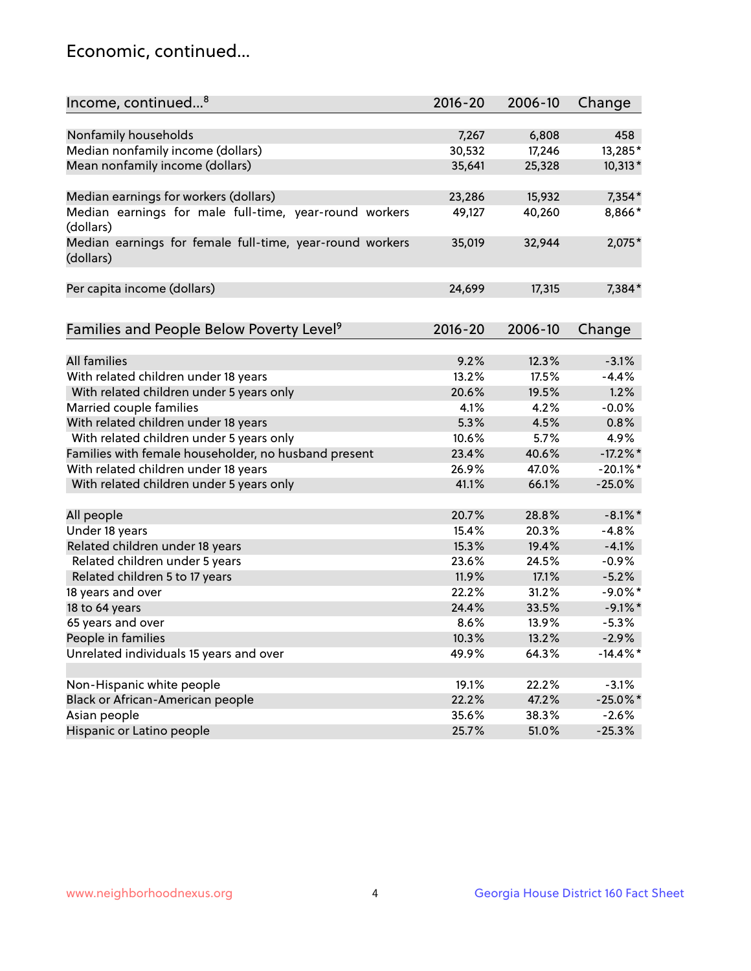## Economic, continued...

|                                                          | $2016 - 20$ | 2006-10 |             |
|----------------------------------------------------------|-------------|---------|-------------|
| Income, continued <sup>8</sup>                           |             |         | Change      |
| Nonfamily households                                     | 7,267       | 6,808   | 458         |
| Median nonfamily income (dollars)                        | 30,532      | 17,246  | 13,285*     |
| Mean nonfamily income (dollars)                          | 35,641      | 25,328  | 10,313*     |
|                                                          |             |         |             |
| Median earnings for workers (dollars)                    | 23,286      | 15,932  | $7,354*$    |
| Median earnings for male full-time, year-round workers   | 49,127      | 40,260  | 8,866*      |
| (dollars)                                                |             |         |             |
| Median earnings for female full-time, year-round workers | 35,019      | 32,944  | 2,075*      |
| (dollars)                                                |             |         |             |
| Per capita income (dollars)                              | 24,699      | 17,315  | 7,384*      |
|                                                          |             |         |             |
| Families and People Below Poverty Level <sup>9</sup>     | $2016 - 20$ | 2006-10 |             |
|                                                          |             |         | Change      |
| <b>All families</b>                                      | 9.2%        | 12.3%   | $-3.1%$     |
| With related children under 18 years                     | 13.2%       | 17.5%   | $-4.4%$     |
| With related children under 5 years only                 | 20.6%       | 19.5%   | 1.2%        |
| Married couple families                                  | 4.1%        | 4.2%    | $-0.0%$     |
| With related children under 18 years                     | 5.3%        | 4.5%    | 0.8%        |
|                                                          | 10.6%       | 5.7%    |             |
| With related children under 5 years only                 |             |         | 4.9%        |
| Families with female householder, no husband present     | 23.4%       | 40.6%   | $-17.2\%$ * |
| With related children under 18 years                     | 26.9%       | 47.0%   | $-20.1\%$ * |
| With related children under 5 years only                 | 41.1%       | 66.1%   | $-25.0%$    |
| All people                                               | 20.7%       | 28.8%   | $-8.1\%$ *  |
| Under 18 years                                           | 15.4%       | 20.3%   | $-4.8%$     |
| Related children under 18 years                          | 15.3%       | 19.4%   | $-4.1%$     |
| Related children under 5 years                           | 23.6%       | 24.5%   | $-0.9%$     |
| Related children 5 to 17 years                           | 11.9%       | 17.1%   | $-5.2%$     |
| 18 years and over                                        | 22.2%       | 31.2%   | $-9.0\%$ *  |
| 18 to 64 years                                           | 24.4%       | 33.5%   | $-9.1\%$ *  |
| 65 years and over                                        | 8.6%        | 13.9%   | $-5.3%$     |
| People in families                                       | 10.3%       | 13.2%   | $-2.9%$     |
| Unrelated individuals 15 years and over                  | 49.9%       | 64.3%   | $-14.4\%$ * |
|                                                          |             |         |             |
| Non-Hispanic white people                                | 19.1%       | 22.2%   | $-3.1%$     |
| Black or African-American people                         | 22.2%       | 47.2%   | $-25.0\%$ * |
| Asian people                                             | 35.6%       | 38.3%   | $-2.6%$     |
| Hispanic or Latino people                                | 25.7%       | 51.0%   | $-25.3%$    |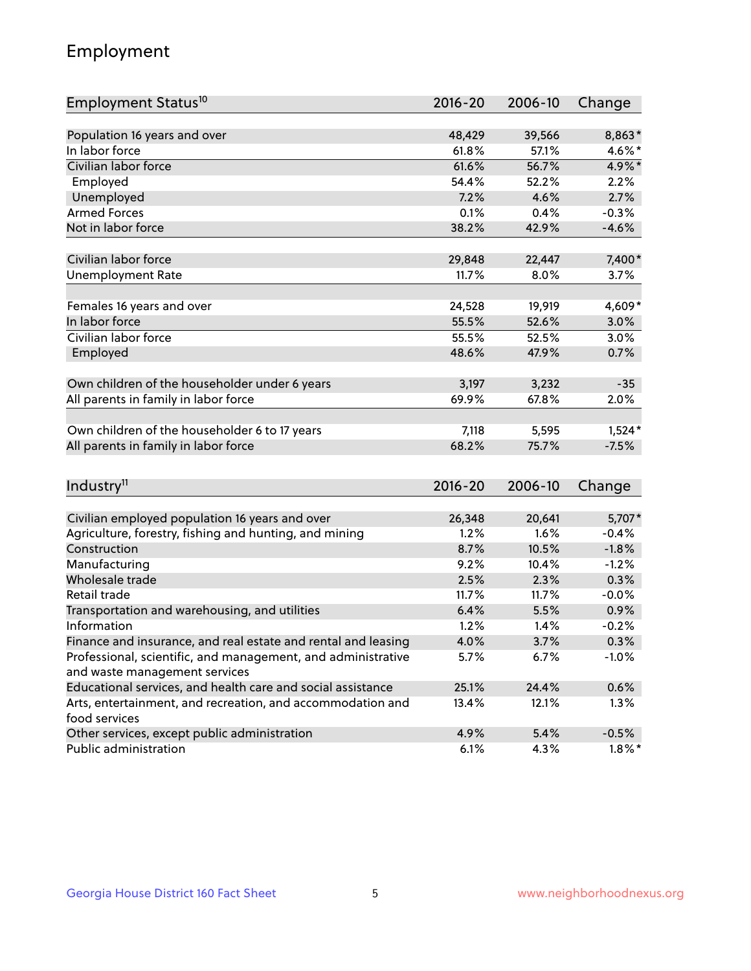## Employment

| Employment Status <sup>10</sup>                                             | $2016 - 20$ | 2006-10 | Change    |
|-----------------------------------------------------------------------------|-------------|---------|-----------|
|                                                                             |             |         |           |
| Population 16 years and over                                                | 48,429      | 39,566  | 8,863*    |
| In labor force                                                              | 61.8%       | 57.1%   | 4.6%*     |
| Civilian labor force                                                        | 61.6%       | 56.7%   | 4.9%*     |
| Employed                                                                    | 54.4%       | 52.2%   | 2.2%      |
| Unemployed                                                                  | 7.2%        | 4.6%    | 2.7%      |
| <b>Armed Forces</b>                                                         | 0.1%        | 0.4%    | $-0.3%$   |
| Not in labor force                                                          | 38.2%       | 42.9%   | $-4.6%$   |
| Civilian labor force                                                        | 29,848      | 22,447  | 7,400*    |
|                                                                             | 11.7%       | 8.0%    |           |
| <b>Unemployment Rate</b>                                                    |             |         | 3.7%      |
| Females 16 years and over                                                   | 24,528      | 19,919  | 4,609*    |
| In labor force                                                              | 55.5%       | 52.6%   | 3.0%      |
| Civilian labor force                                                        | 55.5%       | 52.5%   | 3.0%      |
| Employed                                                                    | 48.6%       | 47.9%   | 0.7%      |
|                                                                             |             |         |           |
| Own children of the householder under 6 years                               | 3,197       | 3,232   | $-35$     |
| All parents in family in labor force                                        | 69.9%       | 67.8%   | 2.0%      |
| Own children of the householder 6 to 17 years                               | 7,118       | 5,595   | $1,524*$  |
| All parents in family in labor force                                        | 68.2%       | 75.7%   | $-7.5%$   |
|                                                                             |             |         |           |
| Industry <sup>11</sup>                                                      | $2016 - 20$ | 2006-10 | Change    |
|                                                                             |             |         |           |
| Civilian employed population 16 years and over                              | 26,348      | 20,641  | 5,707*    |
| Agriculture, forestry, fishing and hunting, and mining                      | 1.2%        | 1.6%    | $-0.4%$   |
| Construction                                                                | 8.7%        | 10.5%   | $-1.8%$   |
| Manufacturing                                                               | 9.2%        | 10.4%   | $-1.2%$   |
| Wholesale trade                                                             | 2.5%        | 2.3%    | 0.3%      |
| Retail trade                                                                | 11.7%       | 11.7%   | $-0.0%$   |
| Transportation and warehousing, and utilities                               | 6.4%        | 5.5%    | 0.9%      |
| Information                                                                 | 1.2%        | 1.4%    | $-0.2%$   |
| Finance and insurance, and real estate and rental and leasing               | 4.0%        | 3.7%    | 0.3%      |
| Professional, scientific, and management, and administrative                | 5.7%        | 6.7%    | $-1.0%$   |
| and waste management services                                               |             |         |           |
| Educational services, and health care and social assistance                 | 25.1%       | 24.4%   | 0.6%      |
| Arts, entertainment, and recreation, and accommodation and<br>food services | 13.4%       | 12.1%   | 1.3%      |
| Other services, except public administration                                | 4.9%        | 5.4%    | $-0.5%$   |
| Public administration                                                       | 6.1%        | 4.3%    | $1.8\%$ * |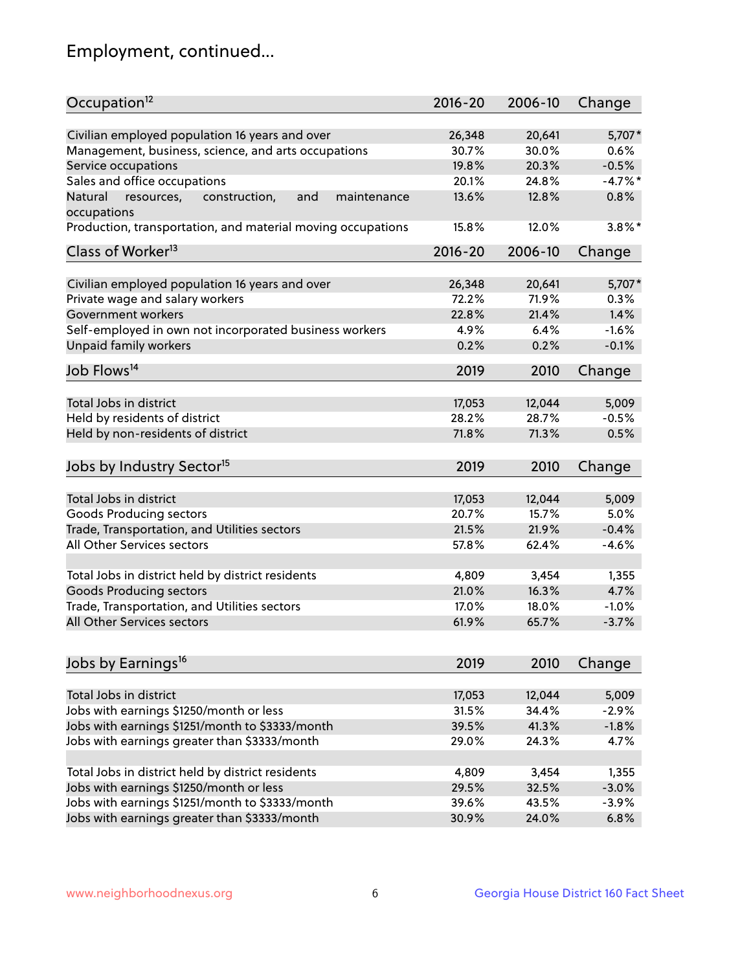## Employment, continued...

| Occupation <sup>12</sup>                                     | $2016 - 20$ | 2006-10 | Change    |
|--------------------------------------------------------------|-------------|---------|-----------|
| Civilian employed population 16 years and over               | 26,348      | 20,641  | 5,707*    |
| Management, business, science, and arts occupations          | 30.7%       | 30.0%   | 0.6%      |
| Service occupations                                          | 19.8%       | 20.3%   | $-0.5%$   |
| Sales and office occupations                                 | 20.1%       | 24.8%   | $-4.7%$ * |
| Natural<br>and<br>resources,<br>construction,<br>maintenance | 13.6%       | 12.8%   | 0.8%      |
| occupations                                                  |             |         |           |
| Production, transportation, and material moving occupations  | 15.8%       | 12.0%   | $3.8\%$ * |
| Class of Worker <sup>13</sup>                                | $2016 - 20$ | 2006-10 | Change    |
|                                                              |             |         |           |
| Civilian employed population 16 years and over               | 26,348      | 20,641  | 5,707*    |
| Private wage and salary workers                              | 72.2%       | 71.9%   | 0.3%      |
| Government workers                                           | 22.8%       | 21.4%   | 1.4%      |
| Self-employed in own not incorporated business workers       | 4.9%        | 6.4%    | $-1.6%$   |
| Unpaid family workers                                        | 0.2%        | 0.2%    | $-0.1%$   |
| Job Flows <sup>14</sup>                                      | 2019        | 2010    | Change    |
|                                                              |             |         |           |
| Total Jobs in district                                       | 17,053      | 12,044  | 5,009     |
| Held by residents of district                                | 28.2%       | 28.7%   | $-0.5%$   |
| Held by non-residents of district                            | 71.8%       | 71.3%   | 0.5%      |
| Jobs by Industry Sector <sup>15</sup>                        | 2019        | 2010    | Change    |
|                                                              |             |         |           |
| Total Jobs in district                                       | 17,053      | 12,044  | 5,009     |
| Goods Producing sectors                                      | 20.7%       | 15.7%   | 5.0%      |
| Trade, Transportation, and Utilities sectors                 | 21.5%       | 21.9%   | $-0.4%$   |
| All Other Services sectors                                   | 57.8%       | 62.4%   | $-4.6%$   |
| Total Jobs in district held by district residents            | 4,809       | 3,454   | 1,355     |
|                                                              | 21.0%       | 16.3%   |           |
| <b>Goods Producing sectors</b>                               |             |         | 4.7%      |
| Trade, Transportation, and Utilities sectors                 | 17.0%       | 18.0%   | $-1.0%$   |
| All Other Services sectors                                   | 61.9%       | 65.7%   | $-3.7%$   |
| Jobs by Earnings <sup>16</sup>                               | 2019        | 2010    | Change    |
|                                                              |             |         |           |
| Total Jobs in district                                       | 17,053      | 12,044  | 5,009     |
| Jobs with earnings \$1250/month or less                      | 31.5%       | 34.4%   | $-2.9%$   |
| Jobs with earnings \$1251/month to \$3333/month              | 39.5%       | 41.3%   | $-1.8%$   |
| Jobs with earnings greater than \$3333/month                 | 29.0%       | 24.3%   | 4.7%      |
|                                                              |             |         |           |
| Total Jobs in district held by district residents            | 4,809       | 3,454   | 1,355     |
| Jobs with earnings \$1250/month or less                      | 29.5%       | 32.5%   | $-3.0%$   |
| Jobs with earnings \$1251/month to \$3333/month              | 39.6%       | 43.5%   | $-3.9%$   |
| Jobs with earnings greater than \$3333/month                 | 30.9%       | 24.0%   | 6.8%      |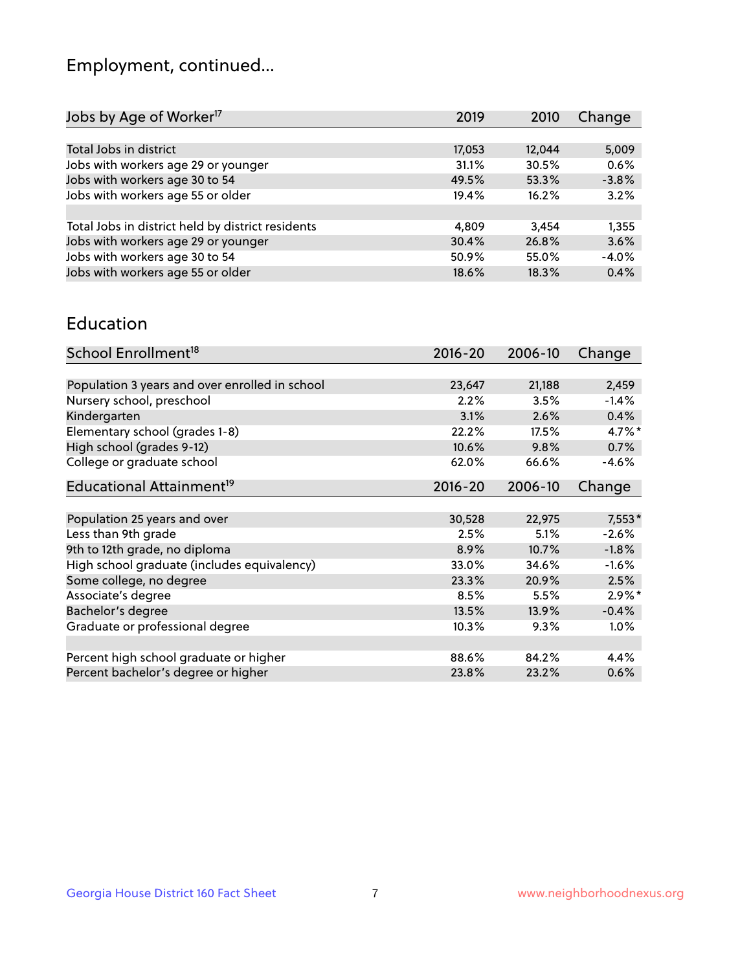## Employment, continued...

| 2019   | 2010   | Change  |
|--------|--------|---------|
|        |        |         |
| 17,053 | 12,044 | 5,009   |
| 31.1%  | 30.5%  | 0.6%    |
| 49.5%  | 53.3%  | $-3.8%$ |
| 19.4%  | 16.2%  | 3.2%    |
|        |        |         |
| 4.809  | 3.454  | 1,355   |
| 30.4%  | 26.8%  | 3.6%    |
| 50.9%  | 55.0%  | $-4.0%$ |
| 18.6%  | 18.3%  | 0.4%    |
|        |        |         |

#### Education

| School Enrollment <sup>18</sup>                | $2016 - 20$ | 2006-10 | Change   |
|------------------------------------------------|-------------|---------|----------|
|                                                |             |         |          |
| Population 3 years and over enrolled in school | 23,647      | 21,188  | 2,459    |
| Nursery school, preschool                      | 2.2%        | 3.5%    | $-1.4%$  |
| Kindergarten                                   | 3.1%        | 2.6%    | 0.4%     |
| Elementary school (grades 1-8)                 | 22.2%       | 17.5%   | 4.7%*    |
| High school (grades 9-12)                      | 10.6%       | 9.8%    | 0.7%     |
| College or graduate school                     | 62.0%       | 66.6%   | $-4.6%$  |
| Educational Attainment <sup>19</sup>           | $2016 - 20$ | 2006-10 | Change   |
|                                                |             |         |          |
| Population 25 years and over                   | 30,528      | 22,975  | $7,553*$ |
| Less than 9th grade                            | 2.5%        | 5.1%    | $-2.6%$  |
| 9th to 12th grade, no diploma                  | 8.9%        | 10.7%   | $-1.8%$  |
| High school graduate (includes equivalency)    | 33.0%       | 34.6%   | $-1.6%$  |
| Some college, no degree                        | 23.3%       | 20.9%   | 2.5%     |
| Associate's degree                             | 8.5%        | 5.5%    | $2.9\%*$ |
| Bachelor's degree                              | 13.5%       | 13.9%   | $-0.4%$  |
| Graduate or professional degree                | 10.3%       | 9.3%    | $1.0\%$  |
|                                                |             |         |          |
| Percent high school graduate or higher         | 88.6%       | 84.2%   | 4.4%     |
| Percent bachelor's degree or higher            | 23.8%       | 23.2%   | 0.6%     |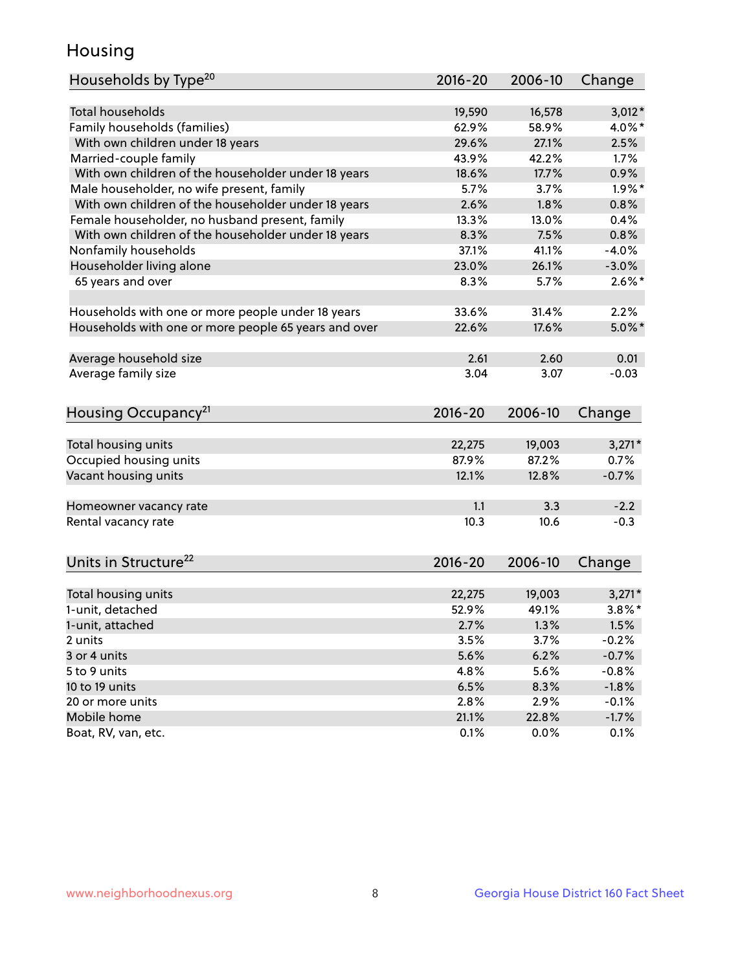## Housing

| Total households<br>16,578<br>$3,012*$<br>19,590<br>Family households (families)<br>58.9%<br>62.9%<br>4.0%*<br>With own children under 18 years<br>29.6%<br>27.1%<br>2.5%<br>Married-couple family<br>1.7%<br>43.9%<br>42.2%<br>With own children of the householder under 18 years<br>18.6%<br>17.7%<br>0.9%<br>Male householder, no wife present, family<br>$1.9\%$ *<br>5.7%<br>3.7%<br>With own children of the householder under 18 years<br>2.6%<br>1.8%<br>0.8%<br>Female householder, no husband present, family<br>13.3%<br>13.0%<br>0.4%<br>With own children of the householder under 18 years<br>8.3%<br>0.8%<br>7.5% | Households by Type <sup>20</sup> | 2016-20 | 2006-10 | Change  |
|-----------------------------------------------------------------------------------------------------------------------------------------------------------------------------------------------------------------------------------------------------------------------------------------------------------------------------------------------------------------------------------------------------------------------------------------------------------------------------------------------------------------------------------------------------------------------------------------------------------------------------------|----------------------------------|---------|---------|---------|
|                                                                                                                                                                                                                                                                                                                                                                                                                                                                                                                                                                                                                                   |                                  |         |         |         |
|                                                                                                                                                                                                                                                                                                                                                                                                                                                                                                                                                                                                                                   |                                  |         |         |         |
|                                                                                                                                                                                                                                                                                                                                                                                                                                                                                                                                                                                                                                   |                                  |         |         |         |
|                                                                                                                                                                                                                                                                                                                                                                                                                                                                                                                                                                                                                                   |                                  |         |         |         |
|                                                                                                                                                                                                                                                                                                                                                                                                                                                                                                                                                                                                                                   |                                  |         |         |         |
|                                                                                                                                                                                                                                                                                                                                                                                                                                                                                                                                                                                                                                   |                                  |         |         |         |
|                                                                                                                                                                                                                                                                                                                                                                                                                                                                                                                                                                                                                                   |                                  |         |         |         |
|                                                                                                                                                                                                                                                                                                                                                                                                                                                                                                                                                                                                                                   |                                  |         |         |         |
|                                                                                                                                                                                                                                                                                                                                                                                                                                                                                                                                                                                                                                   |                                  |         |         |         |
|                                                                                                                                                                                                                                                                                                                                                                                                                                                                                                                                                                                                                                   |                                  |         |         |         |
|                                                                                                                                                                                                                                                                                                                                                                                                                                                                                                                                                                                                                                   | Nonfamily households             | 37.1%   | 41.1%   | $-4.0%$ |
| Householder living alone<br>23.0%<br>$-3.0%$<br>26.1%                                                                                                                                                                                                                                                                                                                                                                                                                                                                                                                                                                             |                                  |         |         |         |
| 65 years and over<br>$2.6\%$ *<br>8.3%<br>5.7%                                                                                                                                                                                                                                                                                                                                                                                                                                                                                                                                                                                    |                                  |         |         |         |
|                                                                                                                                                                                                                                                                                                                                                                                                                                                                                                                                                                                                                                   |                                  |         |         |         |
| 33.6%<br>31.4%<br>2.2%<br>Households with one or more people under 18 years                                                                                                                                                                                                                                                                                                                                                                                                                                                                                                                                                       |                                  |         |         |         |
| Households with one or more people 65 years and over<br>22.6%<br>17.6%<br>$5.0\%$ *                                                                                                                                                                                                                                                                                                                                                                                                                                                                                                                                               |                                  |         |         |         |
|                                                                                                                                                                                                                                                                                                                                                                                                                                                                                                                                                                                                                                   |                                  |         |         |         |
| Average household size<br>2.61<br>2.60<br>0.01                                                                                                                                                                                                                                                                                                                                                                                                                                                                                                                                                                                    |                                  |         |         |         |
| Average family size<br>3.04<br>$-0.03$<br>3.07                                                                                                                                                                                                                                                                                                                                                                                                                                                                                                                                                                                    |                                  |         |         |         |
|                                                                                                                                                                                                                                                                                                                                                                                                                                                                                                                                                                                                                                   |                                  |         |         |         |
| Housing Occupancy <sup>21</sup><br>$2016 - 20$<br>2006-10<br>Change                                                                                                                                                                                                                                                                                                                                                                                                                                                                                                                                                               |                                  |         |         |         |
|                                                                                                                                                                                                                                                                                                                                                                                                                                                                                                                                                                                                                                   |                                  |         |         |         |
| Total housing units<br>$3,271*$<br>22,275<br>19,003                                                                                                                                                                                                                                                                                                                                                                                                                                                                                                                                                                               |                                  |         |         |         |
| 87.2%<br>Occupied housing units<br>87.9%<br>0.7%                                                                                                                                                                                                                                                                                                                                                                                                                                                                                                                                                                                  |                                  |         |         |         |
| Vacant housing units<br>12.1%<br>12.8%<br>$-0.7%$                                                                                                                                                                                                                                                                                                                                                                                                                                                                                                                                                                                 |                                  |         |         |         |
|                                                                                                                                                                                                                                                                                                                                                                                                                                                                                                                                                                                                                                   |                                  |         |         |         |
| 1.1<br>3.3<br>$-2.2$<br>Homeowner vacancy rate                                                                                                                                                                                                                                                                                                                                                                                                                                                                                                                                                                                    |                                  |         |         |         |
| 10.3<br>Rental vacancy rate<br>10.6<br>$-0.3$                                                                                                                                                                                                                                                                                                                                                                                                                                                                                                                                                                                     |                                  |         |         |         |
|                                                                                                                                                                                                                                                                                                                                                                                                                                                                                                                                                                                                                                   |                                  |         |         |         |
| Units in Structure <sup>22</sup><br>2006-10<br>$2016 - 20$<br>Change                                                                                                                                                                                                                                                                                                                                                                                                                                                                                                                                                              |                                  |         |         |         |
|                                                                                                                                                                                                                                                                                                                                                                                                                                                                                                                                                                                                                                   |                                  |         |         |         |
| Total housing units<br>19,003<br>$3,271*$<br>22,275                                                                                                                                                                                                                                                                                                                                                                                                                                                                                                                                                                               |                                  |         |         |         |
| $3.8\%$ *<br>1-unit, detached<br>52.9%<br>49.1%                                                                                                                                                                                                                                                                                                                                                                                                                                                                                                                                                                                   |                                  |         |         |         |
| 1-unit, attached<br>2.7%<br>1.3%<br>1.5%                                                                                                                                                                                                                                                                                                                                                                                                                                                                                                                                                                                          |                                  |         |         |         |
| 2 units<br>3.5%<br>3.7%<br>$-0.2%$                                                                                                                                                                                                                                                                                                                                                                                                                                                                                                                                                                                                |                                  |         |         |         |
| 3 or 4 units<br>5.6%<br>6.2%<br>$-0.7%$                                                                                                                                                                                                                                                                                                                                                                                                                                                                                                                                                                                           |                                  |         |         |         |
| 5 to 9 units<br>5.6%<br>$-0.8%$<br>4.8%                                                                                                                                                                                                                                                                                                                                                                                                                                                                                                                                                                                           |                                  |         |         |         |
| 10 to 19 units<br>6.5%<br>8.3%<br>$-1.8%$                                                                                                                                                                                                                                                                                                                                                                                                                                                                                                                                                                                         |                                  |         |         |         |
| 2.9%<br>20 or more units<br>2.8%<br>$-0.1%$                                                                                                                                                                                                                                                                                                                                                                                                                                                                                                                                                                                       |                                  |         |         |         |
| Mobile home<br>21.1%<br>22.8%<br>$-1.7\%$                                                                                                                                                                                                                                                                                                                                                                                                                                                                                                                                                                                         |                                  |         |         |         |
| 0.1%<br>Boat, RV, van, etc.<br>0.0%<br>0.1%                                                                                                                                                                                                                                                                                                                                                                                                                                                                                                                                                                                       |                                  |         |         |         |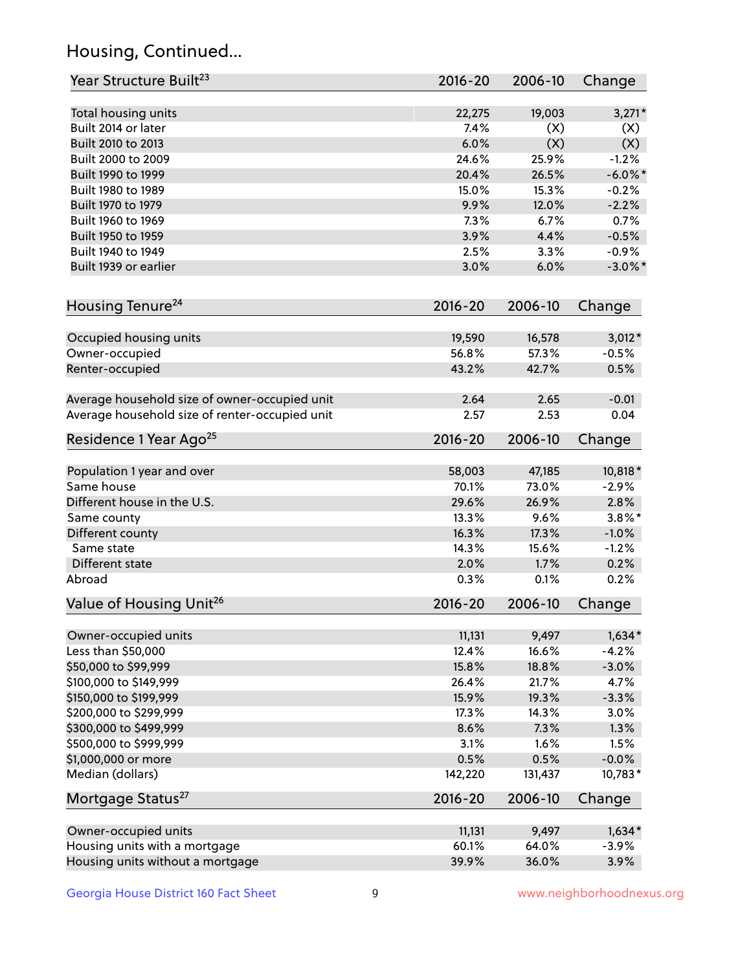## Housing, Continued...

| Year Structure Built <sup>23</sup>             | 2016-20     | 2006-10 | Change     |
|------------------------------------------------|-------------|---------|------------|
| Total housing units                            | 22,275      | 19,003  | $3,271*$   |
| Built 2014 or later                            | 7.4%        | (X)     | (X)        |
| Built 2010 to 2013                             | 6.0%        | (X)     | (X)        |
| Built 2000 to 2009                             | 24.6%       | 25.9%   | $-1.2%$    |
| Built 1990 to 1999                             | 20.4%       | 26.5%   | $-6.0\%$ * |
| Built 1980 to 1989                             | 15.0%       | 15.3%   | $-0.2%$    |
| Built 1970 to 1979                             | 9.9%        | 12.0%   | $-2.2%$    |
| Built 1960 to 1969                             | 7.3%        | 6.7%    | 0.7%       |
| Built 1950 to 1959                             | 3.9%        | 4.4%    | $-0.5%$    |
| Built 1940 to 1949                             | 2.5%        | 3.3%    | $-0.9%$    |
| Built 1939 or earlier                          | 3.0%        | 6.0%    | $-3.0\%$ * |
|                                                |             |         |            |
| Housing Tenure <sup>24</sup>                   | $2016 - 20$ | 2006-10 | Change     |
| Occupied housing units                         | 19,590      | 16,578  | $3,012*$   |
| Owner-occupied                                 | 56.8%       | 57.3%   | $-0.5%$    |
| Renter-occupied                                | 43.2%       | 42.7%   | 0.5%       |
| Average household size of owner-occupied unit  | 2.64        | 2.65    | $-0.01$    |
| Average household size of renter-occupied unit | 2.57        | 2.53    | 0.04       |
| Residence 1 Year Ago <sup>25</sup>             | $2016 - 20$ | 2006-10 | Change     |
| Population 1 year and over                     | 58,003      | 47,185  | 10,818*    |
| Same house                                     | 70.1%       | 73.0%   | $-2.9%$    |
| Different house in the U.S.                    | 29.6%       | 26.9%   | 2.8%       |
| Same county                                    | 13.3%       | 9.6%    | $3.8\%$ *  |
| Different county                               | 16.3%       | 17.3%   | $-1.0%$    |
| Same state                                     | 14.3%       | 15.6%   | $-1.2%$    |
| Different state                                | 2.0%        | 1.7%    | 0.2%       |
| Abroad                                         | 0.3%        | 0.1%    | 0.2%       |
|                                                |             |         |            |
| Value of Housing Unit <sup>26</sup>            | $2016 - 20$ | 2006-10 | Change     |
| Owner-occupied units                           | 11,131      | 9,497   | $1,634*$   |
| Less than \$50,000                             | 12.4%       | 16.6%   | $-4.2%$    |
| \$50,000 to \$99,999                           | 15.8%       | 18.8%   | $-3.0%$    |
| \$100,000 to \$149,999                         | 26.4%       | 21.7%   | 4.7%       |
| \$150,000 to \$199,999                         | 15.9%       | 19.3%   | $-3.3%$    |
| \$200,000 to \$299,999                         | 17.3%       | 14.3%   | 3.0%       |
| \$300,000 to \$499,999                         | 8.6%        | 7.3%    | 1.3%       |
| \$500,000 to \$999,999                         | 3.1%        | 1.6%    | 1.5%       |
| \$1,000,000 or more                            | 0.5%        | 0.5%    | $-0.0%$    |
| Median (dollars)                               | 142,220     | 131,437 | 10,783*    |
| Mortgage Status <sup>27</sup>                  | $2016 - 20$ | 2006-10 | Change     |
| Owner-occupied units                           | 11,131      | 9,497   | $1,634*$   |
| Housing units with a mortgage                  | 60.1%       | 64.0%   | $-3.9%$    |
| Housing units without a mortgage               | 39.9%       | 36.0%   | 3.9%       |
|                                                |             |         |            |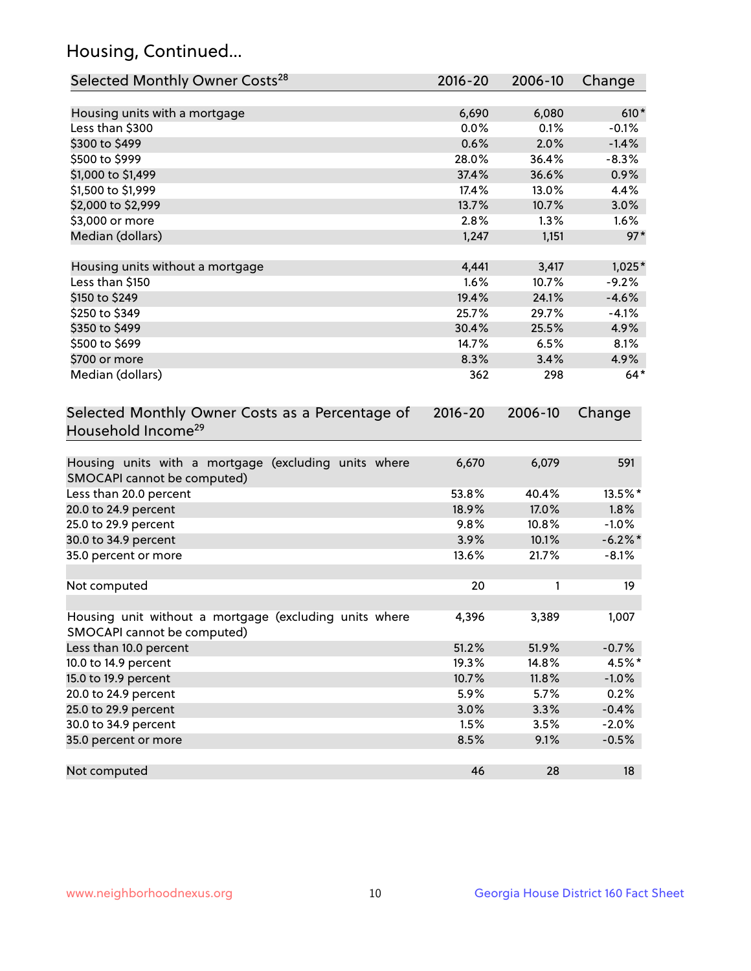## Housing, Continued...

| Selected Monthly Owner Costs <sup>28</sup>                                            | 2016-20     | 2006-10 | Change     |
|---------------------------------------------------------------------------------------|-------------|---------|------------|
| Housing units with a mortgage                                                         | 6,690       | 6,080   | $610*$     |
| Less than \$300                                                                       | 0.0%        | 0.1%    | $-0.1%$    |
| \$300 to \$499                                                                        | 0.6%        | 2.0%    | $-1.4%$    |
| \$500 to \$999                                                                        | 28.0%       | 36.4%   | $-8.3%$    |
| \$1,000 to \$1,499                                                                    | 37.4%       | 36.6%   | 0.9%       |
| \$1,500 to \$1,999                                                                    | 17.4%       | 13.0%   | 4.4%       |
| \$2,000 to \$2,999                                                                    | 13.7%       | 10.7%   | 3.0%       |
| \$3,000 or more                                                                       | 2.8%        | 1.3%    | 1.6%       |
| Median (dollars)                                                                      | 1,247       | 1,151   | $97*$      |
|                                                                                       |             |         |            |
| Housing units without a mortgage                                                      | 4,441       | 3,417   | $1,025*$   |
| Less than \$150                                                                       | 1.6%        | 10.7%   | $-9.2%$    |
| \$150 to \$249                                                                        | 19.4%       | 24.1%   | $-4.6%$    |
| \$250 to \$349                                                                        | 25.7%       | 29.7%   | $-4.1%$    |
| \$350 to \$499                                                                        | 30.4%       | 25.5%   | 4.9%       |
| \$500 to \$699                                                                        | 14.7%       | 6.5%    | 8.1%       |
| \$700 or more                                                                         | 8.3%        | 3.4%    | 4.9%       |
| Median (dollars)                                                                      | 362         | 298     | $64*$      |
| Selected Monthly Owner Costs as a Percentage of<br>Household Income <sup>29</sup>     | $2016 - 20$ | 2006-10 | Change     |
| Housing units with a mortgage (excluding units where<br>SMOCAPI cannot be computed)   | 6,670       | 6,079   | 591        |
| Less than 20.0 percent                                                                | 53.8%       | 40.4%   | 13.5%*     |
| 20.0 to 24.9 percent                                                                  | 18.9%       | 17.0%   | 1.8%       |
| 25.0 to 29.9 percent                                                                  | 9.8%        | 10.8%   | $-1.0%$    |
| 30.0 to 34.9 percent                                                                  | 3.9%        | 10.1%   | $-6.2\%$ * |
| 35.0 percent or more                                                                  | 13.6%       | 21.7%   | $-8.1%$    |
| Not computed                                                                          | 20          | 1       | 19         |
| Housing unit without a mortgage (excluding units where<br>SMOCAPI cannot be computed) | 4,396       | 3,389   | 1,007      |
| Less than 10.0 percent                                                                | 51.2%       | 51.9%   | $-0.7%$    |
| 10.0 to 14.9 percent                                                                  | 19.3%       | 14.8%   | 4.5%*      |
| 15.0 to 19.9 percent                                                                  | 10.7%       | 11.8%   | $-1.0%$    |
| 20.0 to 24.9 percent                                                                  | 5.9%        | 5.7%    | 0.2%       |
| 25.0 to 29.9 percent                                                                  | 3.0%        | 3.3%    | $-0.4%$    |
| 30.0 to 34.9 percent                                                                  | 1.5%        | 3.5%    | $-2.0%$    |
| 35.0 percent or more                                                                  | 8.5%        | 9.1%    | $-0.5%$    |
| Not computed                                                                          | 46          | 28      | 18         |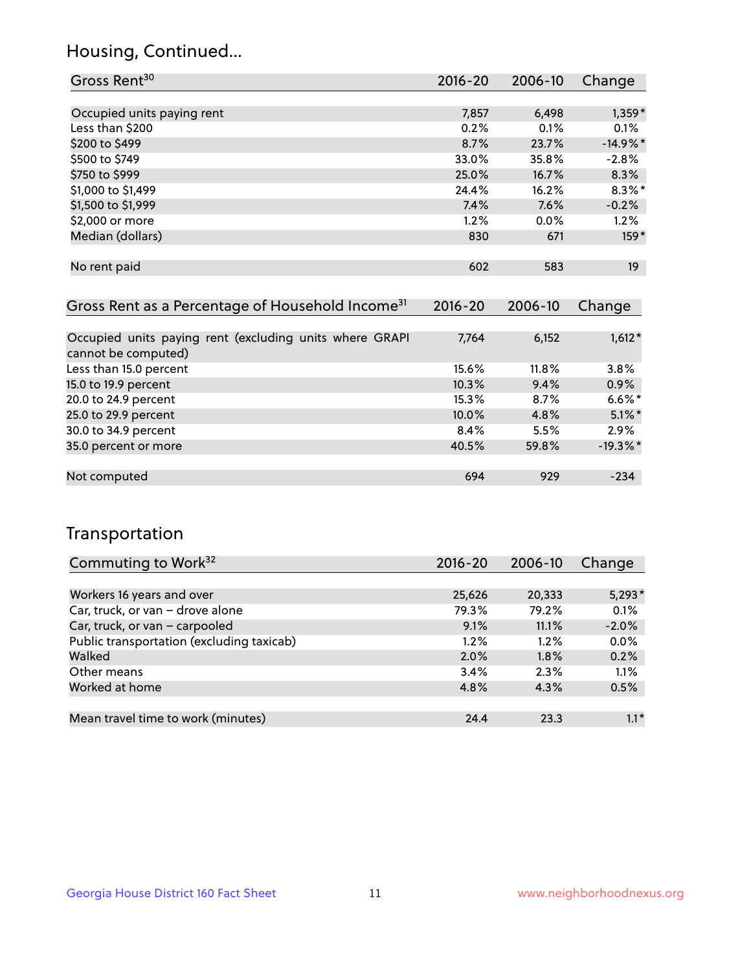## Housing, Continued...

| Gross Rent <sup>30</sup>                                     | 2016-20     | 2006-10 | Change          |
|--------------------------------------------------------------|-------------|---------|-----------------|
|                                                              |             |         |                 |
| Occupied units paying rent                                   | 7,857       | 6,498   | 1,359*          |
| Less than \$200                                              | 0.2%        | 0.1%    | 0.1%            |
| \$200 to \$499                                               | 8.7%        | 23.7%   | $-14.9%$ *      |
| \$500 to \$749                                               | 33.0%       | 35.8%   | $-2.8%$         |
| \$750 to \$999                                               | 25.0%       | 16.7%   | 8.3%            |
| \$1,000 to \$1,499                                           | 24.4%       | 16.2%   | $8.3\%$ *       |
| \$1,500 to \$1,999                                           | 7.4%        | 7.6%    | $-0.2%$         |
| \$2,000 or more                                              | 1.2%        | 0.0%    | $1.2\%$         |
| Median (dollars)                                             | 830         | 671     | $159*$          |
|                                                              |             |         |                 |
| No rent paid                                                 | 602         | 583     | 19 <sup>°</sup> |
|                                                              |             |         |                 |
| Gross Rent as a Percentage of Household Income <sup>31</sup> | $2016 - 20$ | 2006-10 | Change          |

| Occupied units paying rent (excluding units where GRAPI<br>cannot be computed) | 7.764 | 6,152 | $1,612*$   |
|--------------------------------------------------------------------------------|-------|-------|------------|
| Less than 15.0 percent                                                         | 15.6% | 11.8% | 3.8%       |
| 15.0 to 19.9 percent                                                           | 10.3% | 9.4%  | 0.9%       |
| 20.0 to 24.9 percent                                                           | 15.3% | 8.7%  | $6.6\%$ *  |
| 25.0 to 29.9 percent                                                           | 10.0% | 4.8%  | $5.1\%$ *  |
| 30.0 to 34.9 percent                                                           | 8.4%  | 5.5%  | 2.9%       |
| 35.0 percent or more                                                           | 40.5% | 59.8% | $-19.3%$ * |
|                                                                                |       |       |            |
| Not computed                                                                   | 694   | 929   | $-234$     |

## Transportation

| Commuting to Work <sup>32</sup>           | 2016-20 | 2006-10 | Change   |
|-------------------------------------------|---------|---------|----------|
|                                           |         |         |          |
| Workers 16 years and over                 | 25,626  | 20,333  | $5,293*$ |
| Car, truck, or van - drove alone          | 79.3%   | 79.2%   | 0.1%     |
| Car, truck, or van - carpooled            | 9.1%    | 11.1%   | $-2.0%$  |
| Public transportation (excluding taxicab) | 1.2%    | $1.2\%$ | 0.0%     |
| Walked                                    | 2.0%    | 1.8%    | 0.2%     |
| Other means                               | 3.4%    | 2.3%    | 1.1%     |
| Worked at home                            | 4.8%    | 4.3%    | 0.5%     |
|                                           |         |         |          |
| Mean travel time to work (minutes)        | 24.4    | 23.3    | $1.1*$   |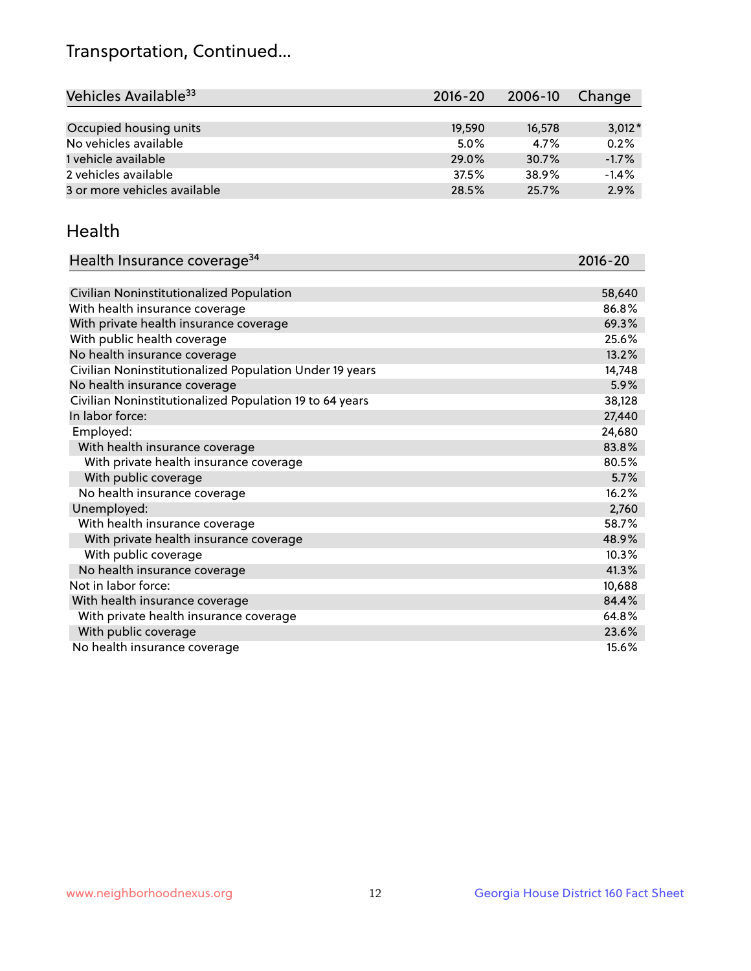## Transportation, Continued...

| Vehicles Available <sup>33</sup> | $2016 - 20$ | 2006-10 | Change   |
|----------------------------------|-------------|---------|----------|
|                                  |             |         |          |
| Occupied housing units           | 19,590      | 16,578  | $3,012*$ |
| No vehicles available            | 5.0%        | 4.7%    | 0.2%     |
| 1 vehicle available              | 29.0%       | 30.7%   | $-1.7%$  |
| 2 vehicles available             | 37.5%       | 38.9%   | $-1.4%$  |
| 3 or more vehicles available     | 28.5%       | 25.7%   | 2.9%     |

#### Health

| Health Insurance coverage <sup>34</sup>                 | 2016-20 |
|---------------------------------------------------------|---------|
|                                                         |         |
| Civilian Noninstitutionalized Population                | 58,640  |
| With health insurance coverage                          | 86.8%   |
| With private health insurance coverage                  | 69.3%   |
| With public health coverage                             | 25.6%   |
| No health insurance coverage                            | 13.2%   |
| Civilian Noninstitutionalized Population Under 19 years | 14,748  |
| No health insurance coverage                            | 5.9%    |
| Civilian Noninstitutionalized Population 19 to 64 years | 38,128  |
| In labor force:                                         | 27,440  |
| Employed:                                               | 24,680  |
| With health insurance coverage                          | 83.8%   |
| With private health insurance coverage                  | 80.5%   |
| With public coverage                                    | 5.7%    |
| No health insurance coverage                            | 16.2%   |
| Unemployed:                                             | 2,760   |
| With health insurance coverage                          | 58.7%   |
| With private health insurance coverage                  | 48.9%   |
| With public coverage                                    | 10.3%   |
| No health insurance coverage                            | 41.3%   |
| Not in labor force:                                     | 10,688  |
| With health insurance coverage                          | 84.4%   |
| With private health insurance coverage                  | 64.8%   |
| With public coverage                                    | 23.6%   |
| No health insurance coverage                            | 15.6%   |